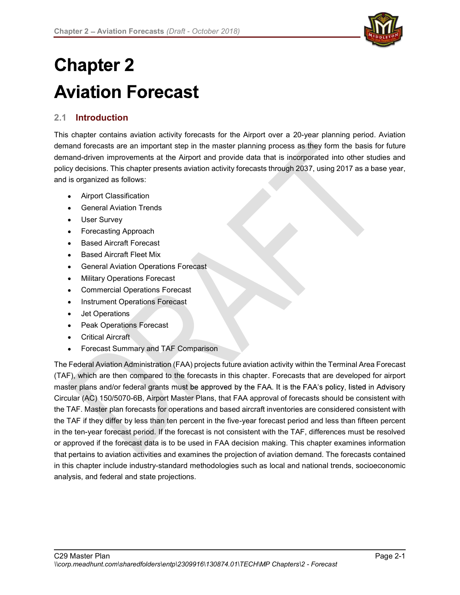

# **Chapter 2 Aviation Forecast**

# 2.1 Introduction

This chapter contains aviation activity forecasts for the Airport over a 20-year planning period. Aviation demand forecasts are an important step in the master planning process as they form the basis for future demand-driven improvements at the Airport and provide data that is incorporated into other studies and policy decisions. This chapter presents aviation activity forecasts through 2037, using 2017 as a base year, and is organized as follows:

- Airport Classification
- General Aviation Trends
- User Survey
- Forecasting Approach
- Based Aircraft Forecast
- Based Aircraft Fleet Mix
- **•** General Aviation Operations Forecast
- Military Operations Forecast
- Commercial Operations Forecast
- Instrument Operations Forecast
- Jet Operations
- Peak Operations Forecast
- Critical Aircraft
- Forecast Summary and TAF Comparison

The Federal Aviation Administration (FAA) projects future aviation activity within the Terminal Area Forecast (TAF), which are then compared to the forecasts in this chapter. Forecasts that are developed for airport master plans and/or federal grants must be approved by the FAA. It is the FAA's policy, listed in Advisory Circular (AC) 150/5070-6B, Airport Master Plans, that FAA approval of forecasts should be consistent with the TAF. Master plan forecasts for operations and based aircraft inventories are considered consistent with the TAF if they differ by less than ten percent in the five-year forecast period and less than fifteen percent in the ten-year forecast period. If the forecast is not consistent with the TAF, differences must be resolved or approved if the forecast data is to be used in FAA decision making. This chapter examines information that pertains to aviation activities and examines the projection of aviation demand. The forecasts contained in this chapter include industry-standard methodologies such as local and national trends, socioeconomic analysis, and federal and state projections.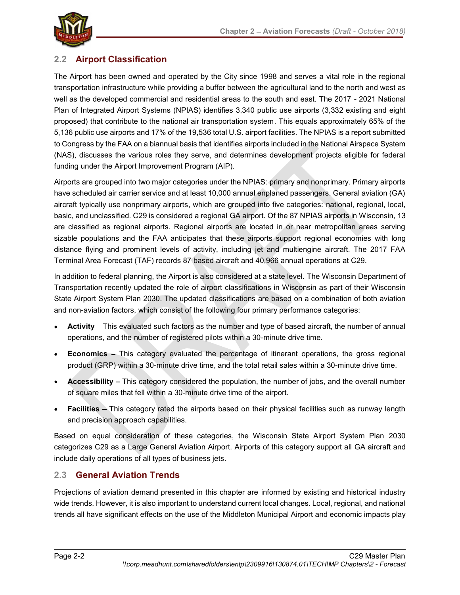

# 2.2 Airport Classification

The Airport has been owned and operated by the City since 1998 and serves a vital role in the regional transportation infrastructure while providing a buffer between the agricultural land to the north and west as well as the developed commercial and residential areas to the south and east. The 2017 - 2021 National Plan of Integrated Airport Systems (NPIAS) identifies 3,340 public use airports (3,332 existing and eight proposed) that contribute to the national air transportation system. This equals approximately 65% of the 5,136 public use airports and 17% of the 19,536 total U.S. airport facilities. The NPIAS is a report submitted to Congress by the FAA on a biannual basis that identifies airports included in the National Airspace System (NAS), discusses the various roles they serve, and determines development projects eligible for federal funding under the Airport Improvement Program (AIP).

Airports are grouped into two major categories under the NPIAS: primary and nonprimary. Primary airports have scheduled air carrier service and at least 10,000 annual enplaned passengers. General aviation (GA) aircraft typically use nonprimary airports, which are grouped into five categories: national, regional, local, basic, and unclassified. C29 is considered a regional GA airport. Of the 87 NPIAS airports in Wisconsin, 13 are classified as regional airports. Regional airports are located in or near metropolitan areas serving sizable populations and the FAA anticipates that these airports support regional economies with long distance flying and prominent levels of activity, including jet and multiengine aircraft. The 2017 FAA Terminal Area Forecast (TAF) records 87 based aircraft and 40,966 annual operations at C29.

In addition to federal planning, the Airport is also considered at a state level. The Wisconsin Department of Transportation recently updated the role of airport classifications in Wisconsin as part of their Wisconsin State Airport System Plan 2030. The updated classifications are based on a combination of both aviation and non-aviation factors, which consist of the following four primary performance categories:

- Activity This evaluated such factors as the number and type of based aircraft, the number of annual operations, and the number of registered pilots within a 30-minute drive time.
- Economics This category evaluated the percentage of itinerant operations, the gross regional product (GRP) within a 30-minute drive time, and the total retail sales within a 30-minute drive time.
- **Accessibility**  $-$  This category considered the population, the number of jobs, and the overall number of square miles that fell within a 30-minute drive time of the airport.
- Facilities This category rated the airports based on their physical facilities such as runway length and precision approach capabilities.

Based on equal consideration of these categories, the Wisconsin State Airport System Plan 2030 categorizes C29 as a Large General Aviation Airport. Airports of this category support all GA aircraft and include daily operations of all types of business jets.

# 2.3 General Aviation Trends

Projections of aviation demand presented in this chapter are informed by existing and historical industry wide trends. However, it is also important to understand current local changes. Local, regional, and national trends all have significant effects on the use of the Middleton Municipal Airport and economic impacts play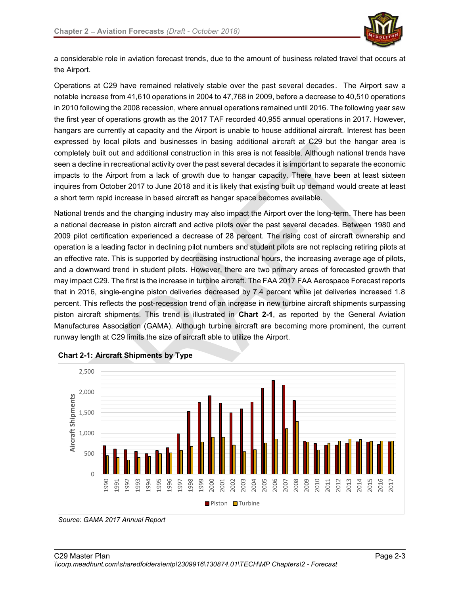

a considerable role in aviation forecast trends, due to the amount of business related travel that occurs at the Airport.

Chapter 2 – Aviation Forecasts (*Draft - October 2018*)<br>
a considerable role in aviation forecast trends, due to the amount of business related travel that occurs at<br>
the Airport.<br>
Operations at C29 have remained relativel notable increase from 41,610 operations in 2004 to 47,768 in 2009, before a decrease to 40,510 operations in 2010 following the 2008 recession, where annual operations remained until 2016. The following year saw Chapter 2 – Aviation Forecasts (*Draft - October 2018*)<br>
a considerable role in aviation forecast trends, due to the amount of business related travel that occurs at<br>
the Airport.<br>
Operations at C29 have remained relativel hangars are currently at capacity and the Airport is unable to house additional aircraft. Interest has been expressed by local pilots and businesses in basing additional aircraft at C29 but the hangar area is completely built out and additional construction in this area is not feasible. Although national trends have seen a decline in recreational activity over the past several decades it is important to separate the economic impacts to the Airport from a lack of growth due to hangar capacity. There have been at least sixteen inquires from October 2017 to June 2018 and it is likely that existing built up demand would create at least a short term rapid increase in based aircraft as hangar space becomes available.

National trends and the changing industry may also impact the Airport over the long-term. There has been a national decrease in piston aircraft and active pilots over the past several decades. Between 1980 and 2009 pilot certification experienced a decrease of 28 percent. The rising cost of aircraft ownership and operation is a leading factor in declining pilot numbers and student pilots are not replacing retiring pilots at an effective rate. This is supported by decreasing instructional hours, the increasing average age of pilots, and a downward trend in student pilots. However, there are two primary areas of forecasted growth that may impact C29. The first is the increase in turbine aircraft. The FAA 2017 FAA Aerospace Forecast reports that in 2016, single-engine piston deliveries decreased by 7.4 percent while jet deliveries increased 1.8 percent. This reflects the post-recession trend of an increase in new turbine aircraft shipments surpassing piston aircraft shipments. This trend is illustrated in Chart 2-1, as reported by the General Aviation Manufactures Association (GAMA). Although turbine aircraft are becoming more prominent, the current runway length at C29 limits the size of aircraft able to utilize the Airport.





Source: GAMA 2017 Annual Report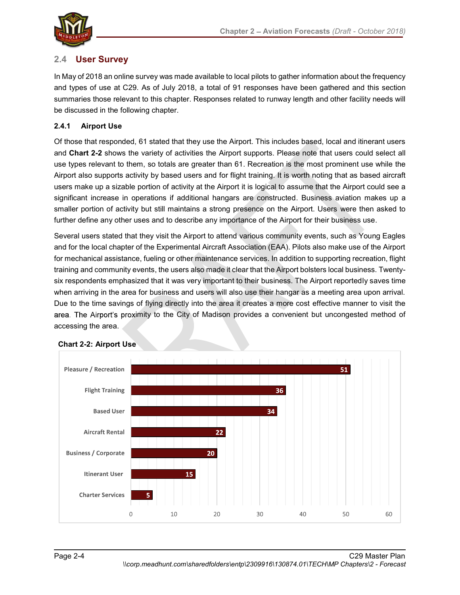

# 2.4 User Survey

In May of 2018 an online survey was made available to local pilots to gather information about the frequency and types of use at C29. As of July 2018, a total of 91 responses have been gathered and this section summaries those relevant to this chapter. Responses related to runway length and other facility needs will be discussed in the following chapter.

#### 2.4.1 Airport Use

Of those that responded, 61 stated that they use the Airport. This includes based, local and itinerant users and Chart 2-2 shows the variety of activities the Airport supports. Please note that users could select all use types relevant to them, so totals are greater than 61. Recreation is the most prominent use while the Airport also supports activity by based users and for flight training. It is worth noting that as based aircraft users make up a sizable portion of activity at the Airport it is logical to assume that the Airport could see a significant increase in operations if additional hangars are constructed. Business aviation makes up a smaller portion of activity but still maintains a strong presence on the Airport. Users were then asked to further define any other uses and to describe any importance of the Airport for their business use.

Several users stated that they visit the Airport to attend various community events, such as Young Eagles and for the local chapter of the Experimental Aircraft Association (EAA). Pilots also make use of the Airport for mechanical assistance, fueling or other maintenance services. In addition to supporting recreation, flight training and community events, the users also made it clear that the Airport bolsters local business. Twentysix respondents emphasized that it was very important to their business. The Airport reportedly saves time when arriving in the area for business and users will also use their hangar as a meeting area upon arrival. Due to the time savings of flying directly into the area it creates a more cost effective manner to visit the area. The Airport's proximity to the City of Madison provides a convenient but uncongested method of accessing the area.



#### Chart 2-2: Airport Use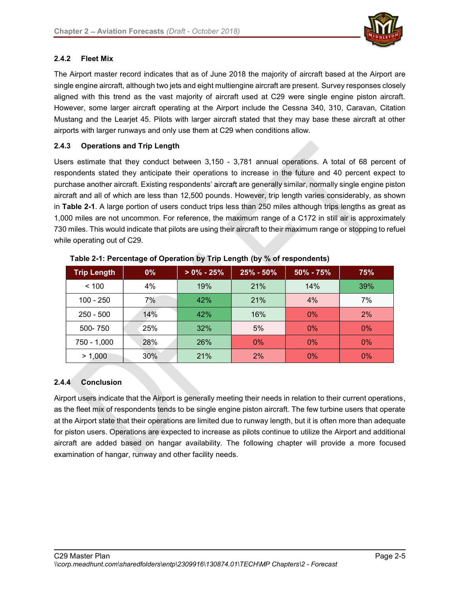

#### 2.4.2 Fleet Mix

The Airport master record indicates that as of June 2018 the majority of aircraft based at the Airport are single engine aircraft, although two jets and eight multiengine aircraft are present. Survey responses closely aligned with this trend as the vast majority of aircraft used at C29 were single engine piston aircraft. However, some larger aircraft operating at the Airport include the Cessna 340, 310, Caravan, Citation Mustang and the Learjet 45. Pilots with larger aircraft stated that they may base these aircraft at other airports with larger runways and only use them at C29 when conditions allow.

#### 2.4.3 Operations and Trip Length

Users estimate that they conduct between 3,150 - 3,781 annual operations. A total of 68 percent of respondents stated they anticipate their operations to increase in the future and 40 percent expect to purchase another aircraft. Existing respondents' aircraft are generally similar, normally single engine piston aircraft and all of which are less than 12,500 pounds. However, trip length varies considerably, as shown in Table 2-1. A large portion of users conduct trips less than 250 miles although trips lengths as great as 1,000 miles are not uncommon. For reference, the maximum range of a C172 in still air is approximately 730 miles. This would indicate that pilots are using their aircraft to their maximum range or stopping to refuel while operating out of C29.

| <b>Trip Length</b> | $0\%$ | $> 0\% - 25\%$ | $25\% - 50\%$ | $50\% - 75\%$ | 75%   |
|--------------------|-------|----------------|---------------|---------------|-------|
| < 100              | 4%    | 19%            | 21%           | 14%           | 39%   |
| $100 - 250$        | 7%    | 42%            | 21%           | 4%            | 7%    |
| $250 - 500$        | 14%   | 42%            | 16%           | $0\%$         | 2%    |
| 500-750            | 25%   | 32%            | 5%            | $0\%$         | $0\%$ |
| 750 - 1,000        | 28%   | 26%            | $0\%$         | $0\%$         | $0\%$ |
| > 1,000            | 30%   | 21%            | 2%            | $0\%$         | $0\%$ |

Table 2-1: Percentage of Operation by Trip Length (by % of respondents)

#### 2.4.4 Conclusion

Airport users indicate that the Airport is generally meeting their needs in relation to their current operations, as the fleet mix of respondents tends to be single engine piston aircraft. The few turbine users that operate at the Airport state that their operations are limited due to runway length, but it is often more than adequate for piston users. Operations are expected to increase as pilots continue to utilize the Airport and additional aircraft are added based on hangar availability. The following chapter will provide a more focused examination of hangar, runway and other facility needs.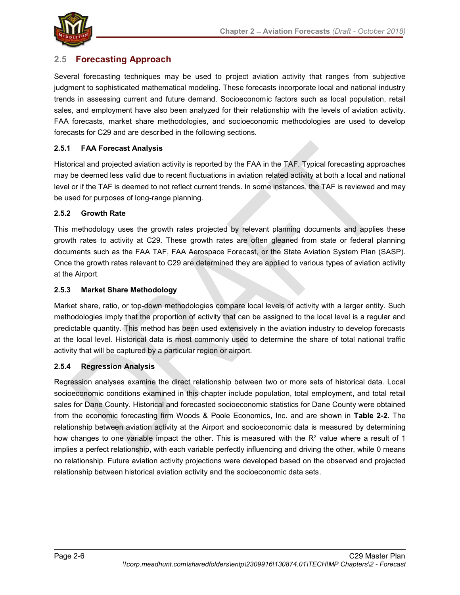

# 2.5 Forecasting Approach

Several forecasting techniques may be used to project aviation activity that ranges from subjective judgment to sophisticated mathematical modeling. These forecasts incorporate local and national industry trends in assessing current and future demand. Socioeconomic factors such as local population, retail sales, and employment have also been analyzed for their relationship with the levels of aviation activity. FAA forecasts, market share methodologies, and socioeconomic methodologies are used to develop forecasts for C29 and are described in the following sections.

#### 2.5.1 FAA Forecast Analysis

Historical and projected aviation activity is reported by the FAA in the TAF. Typical forecasting approaches may be deemed less valid due to recent fluctuations in aviation related activity at both a local and national level or if the TAF is deemed to not reflect current trends. In some instances, the TAF is reviewed and may be used for purposes of long-range planning.

#### 2.5.2 Growth Rate

This methodology uses the growth rates projected by relevant planning documents and applies these growth rates to activity at C29. These growth rates are often gleaned from state or federal planning documents such as the FAA TAF, FAA Aerospace Forecast, or the State Aviation System Plan (SASP). Once the growth rates relevant to C29 are determined they are applied to various types of aviation activity at the Airport.

#### 2.5.3 Market Share Methodology

Market share, ratio, or top-down methodologies compare local levels of activity with a larger entity. Such methodologies imply that the proportion of activity that can be assigned to the local level is a regular and predictable quantity. This method has been used extensively in the aviation industry to develop forecasts at the local level. Historical data is most commonly used to determine the share of total national traffic activity that will be captured by a particular region or airport.

#### 2.5.4 Regression Analysis

Regression analyses examine the direct relationship between two or more sets of historical data. Local socioeconomic conditions examined in this chapter include population, total employment, and total retail sales for Dane County. Historical and forecasted socioeconomic statistics for Dane County were obtained from the economic forecasting firm Woods & Poole Economics, Inc. and are shown in Table 2-2. The relationship between aviation activity at the Airport and socioeconomic data is measured by determining how changes to one variable impact the other. This is measured with the R<sup>2</sup> value where a result of 1 implies a perfect relationship, with each variable perfectly influencing and driving the other, while 0 means no relationship. Future aviation activity projections were developed based on the observed and projected relationship between historical aviation activity and the socioeconomic data sets.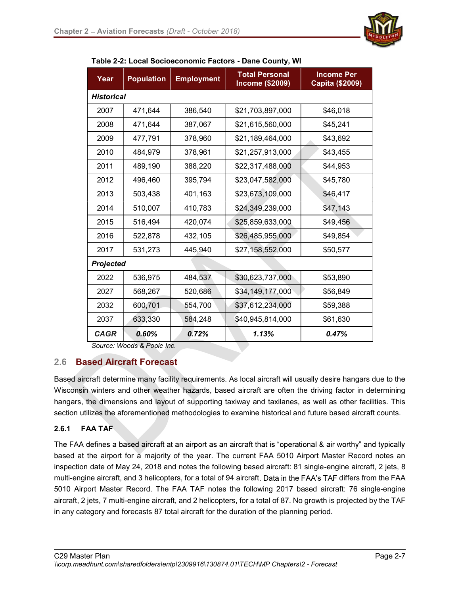

| Year              | <b>Population</b> | <b>Employment</b> | <b>Total Personal</b><br><b>Income (\$2009)</b> | <b>Income Per</b><br>Capita (\$2009) |
|-------------------|-------------------|-------------------|-------------------------------------------------|--------------------------------------|
| <b>Historical</b> |                   |                   |                                                 |                                      |
| 2007              | 471,644           | 386,540           | \$21,703,897,000                                | \$46,018                             |
| 2008              | 471,644           | 387,067           | \$21,615,560,000                                | \$45,241                             |
| 2009              | 477,791           | 378,960           | \$21,189,464,000                                | \$43,692                             |
| 2010              | 484,979           | 378,961           | \$21,257,913,000                                | \$43,455                             |
| 2011              | 489,190           | 388,220           | \$22,317,488,000                                | \$44,953                             |
| 2012              | 496,460           | 395,794           | \$23,047,582,000                                | \$45,780                             |
| 2013              | 503,438           | 401,163           | \$23,673,109,000                                | \$46,417                             |
| 2014              | 510,007           | 410,783           | \$24,349,239,000                                | \$47,143                             |
| 2015              | 516,494           | 420,074           | \$25,859,633,000                                | \$49,456                             |
| 2016              | 522,878           | 432,105           | \$26,485,955,000                                | \$49,854                             |
| 2017              | 531,273           | 445,940           | \$27,158,552,000                                | \$50,577                             |
| <b>Projected</b>  |                   |                   |                                                 |                                      |
| 2022              | 536,975           | 484,537           | \$30,623,737,000                                | \$53,890                             |
| 2027              | 568,267           | 520,686           | \$34,149,177,000                                | \$56,849                             |
| 2032              | 600,701           | 554,700           | \$37,612,234,000                                | \$59,388                             |
| 2037              | 633,330           | 584,248           | \$40,945,814,000                                | \$61,630                             |
| <b>CAGR</b>       | 0.60%             | 0.72%             | 1.13%                                           | 0.47%                                |

Table 2-2: Local Socioeconomic Factors - Dane County, WI

Source: Woods & Poole Inc.

#### 2.6 Based Aircraft Forecast

Based aircraft determine many facility requirements. As local aircraft will usually desire hangars due to the Wisconsin winters and other weather hazards, based aircraft are often the driving factor in determining hangars, the dimensions and layout of supporting taxiway and taxilanes, as well as other facilities. This section utilizes the aforementioned methodologies to examine historical and future based aircraft counts.

#### 2.6.1 FAA TAF

The FAA defines a based aircraft at an airport as an aircraft that is "operational & air worthy" and typically based at the airport for a majority of the year. The current FAA 5010 Airport Master Record notes an inspection date of May 24, 2018 and notes the following based aircraft: 81 single-engine aircraft, 2 jets, 8 multi-engine aircraft, and 3 helicopters, for a total of 94 aircraft. Data in the FAA's TAF differs from the FAA 5010 Airport Master Record. The FAA TAF notes the following 2017 based aircraft: 76 single-engine aircraft, 2 jets, 7 multi-engine aircraft, and 2 helicopters, for a total of 87. No growth is projected by the TAF in any category and forecasts 87 total aircraft for the duration of the planning period.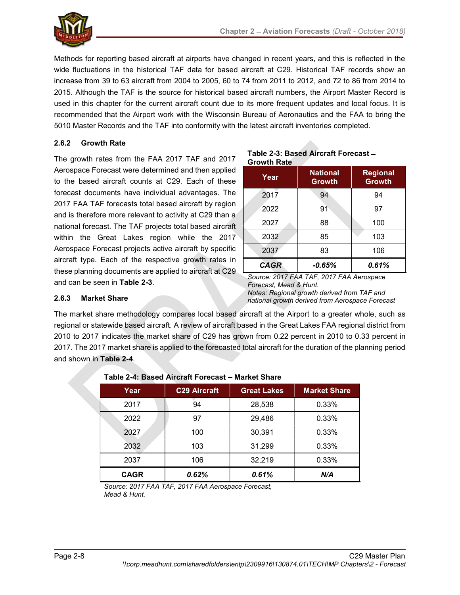

Methods for reporting based aircraft at airports have changed in recent years, and this is reflected in the wide fluctuations in the historical TAF data for based aircraft at C29. Historical TAF records show an increase from 39 to 63 aircraft from 2004 to 2005, 60 to 74 from 2011 to 2012, and 72 to 86 from 2014 to 2015. Although the TAF is the source for historical based aircraft numbers, the Airport Master Record is used in this chapter for the current aircraft count due to its more frequent updates and local focus. It is recommended that the Airport work with the Wisconsin Bureau of Aeronautics and the FAA to bring the 5010 Master Records and the TAF into conformity with the latest aircraft inventories completed.

#### 2.6.2 Growth Rate

The growth rates from the FAA 2017 TAF and 2017 Aerospace Forecast were determined and then applied to the based aircraft counts at C29. Each of these forecast documents have individual advantages. The 2017 FAA TAF forecasts total based aircraft by region and is therefore more relevant to activity at C29 than a national forecast. The TAF projects total based aircraft within the Great Lakes region while the 2017 Aerospace Forecast projects active aircraft by specific aircraft type. Each of the respective growth rates in these planning documents are applied to aircraft at C29 and can be seen in Table 2-3. 2.6.2 Growth Rate<br>
Alerospace Forecast were determined and then applied<br>
Alerospace Forecast were determined and then applied<br>
Corecast documents at C29. Each of thes<br>
Year<br>
The market share in the market share in the mark

#### Table 2-3: Based Aircraft Forecast Growth Rate

| Year        | <b>National</b><br><b>Growth</b> | <b>Regional</b><br><b>Growth</b> |
|-------------|----------------------------------|----------------------------------|
| ч.<br>2017  | 94                               | 94                               |
| 2022        | 91                               | 97                               |
| 2027        | 88                               | 100                              |
| 2032        | 85                               | 103                              |
| 2037        | 83                               | 106                              |
| <b>CAGR</b> | $-0.65%$                         | 0.61%                            |

Source: 2017 FAA TAF, 2017 FAA Aerospace Forecast, Mead & Hunt. Notes: Regional growth derived from TAF and national growth derived from Aerospace Forecast

#### 2.6.3 Market Share

The market share methodology compares local based aircraft at the Airport to a greater whole, such as regional or statewide based aircraft. A review of aircraft based in the Great Lakes FAA regional district from 2017. The 2017 market share is applied to the forecasted total aircraft for the duration of the planning period and shown in Table 2-4.

|             | Table 2-4. Based All Gialt Forecast — Market Share |                    |                     |
|-------------|----------------------------------------------------|--------------------|---------------------|
| Year        | <b>C29 Aircraft</b>                                | <b>Great Lakes</b> | <b>Market Share</b> |
| 2017        | 94                                                 | 28,538             | 0.33%               |
| 2022        | 97                                                 | 29,486             | 0.33%               |
| 2027        | 100                                                | 30,391             | 0.33%               |
| 2032        | 103                                                | 31,299             | 0.33%               |
| 2037        | 106                                                | 32,219             | 0.33%               |
| <b>CAGR</b> | 0.62%                                              | 0.61%              | N/A                 |

# Table 2-4: Based Aircraft Forecast Market Share

Source: 2017 FAA TAF, 2017 FAA Aerospace Forecast, Mead & Hunt.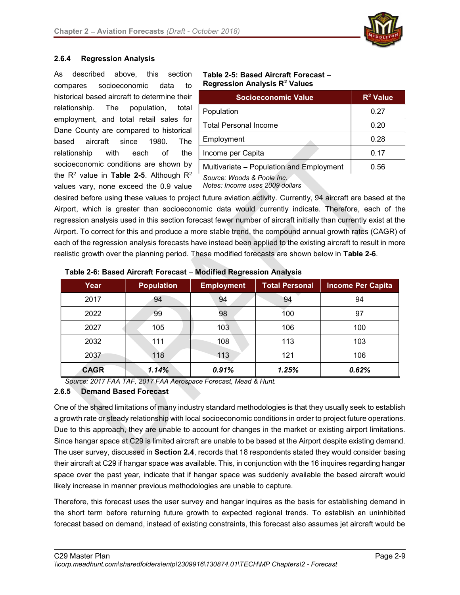

#### 2.6.4 Regression Analysis

As described above, this section **Table 2-5: Based Aircraft Forecast –**<br>compares socioeconomic data to **Regression Analysis R<sup>2</sup> Values** compares socioeconomic data to historical based aircraft to determine their relationship. The population, total employment, and total retail sales for Dane County are compared to historical based aircraft since 1980. The relationship with each of the socioeconomic conditions are shown by the R<sup>2</sup> value in Table 2-5. Although R<sup>2</sup> Source: Woods & Poole Inc values vary, none exceed the 0.9 value

# Regression Analysis R<sup>2</sup> Values

| <b>Socioeconomic Value</b>               | $R^2$ Value |
|------------------------------------------|-------------|
| Population                               | 0.27        |
| <b>Total Personal Income</b>             | 0.20        |
| Employment                               | 0.28        |
| Income per Capita                        | 0.17        |
| Multivariate - Population and Employment | 0.56        |
| Source: Woods & Poole Inc.               |             |

Notes: Income uses 2009 dollars

desired before using these values to project future aviation activity. Currently, 94 aircraft are based at the Airport, which is greater than socioeconomic data would currently indicate. Therefore, each of the regression analysis used in this section forecast fewer number of aircraft initially than currently exist at the Airport. To correct for this and produce a more stable trend, the compound annual growth rates (CAGR) of each of the regression analysis forecasts have instead been applied to the existing aircraft to result in more realistic growth over the planning period. These modified forecasts are shown below in Table 2-6.

| Year        | <b>Population</b> | <b>Employment</b> | <b>Total Personal</b> | Income Per Capita |
|-------------|-------------------|-------------------|-----------------------|-------------------|
| 2017        | 94                | 94                | 94                    | 94                |
| 2022        | 99                | 98                | 100                   | 97                |
| 2027        | 105               | 103               | 106                   | 100               |
| 2032        | 111               | 108               | 113                   | 103               |
| 2037        | 118               | 113               | 121                   | 106               |
| <b>CAGR</b> | 1.14%             | 0.91%             | 1.25%                 | 0.62%             |

Table 2-6: Based Aircraft Forecast - Modified Regression Analysis

Source: 2017 FAA TAF, 2017 FAA Aerospace Forecast, Mead & Hunt.

#### 2.6.5 Demand Based Forecast

One of the shared limitations of many industry standard methodologies is that they usually seek to establish a growth rate or steady relationship with local socioeconomic conditions in order to project future operations. Due to this approach, they are unable to account for changes in the market or existing airport limitations. Since hangar space at C29 is limited aircraft are unable to be based at the Airport despite existing demand. The user survey, discussed in **Section 2.4**, records that 18 respondents stated they would consider basing their aircraft at C29 if hangar space was available. This, in conjunction with the 16 inquires regarding hangar space over the past year, indicate that if hangar space was suddenly available the based aircraft would likely increase in manner previous methodologies are unable to capture.

Therefore, this forecast uses the user survey and hangar inquires as the basis for establishing demand in the short term before returning future growth to expected regional trends. To establish an uninhibited forecast based on demand, instead of existing constraints, this forecast also assumes jet aircraft would be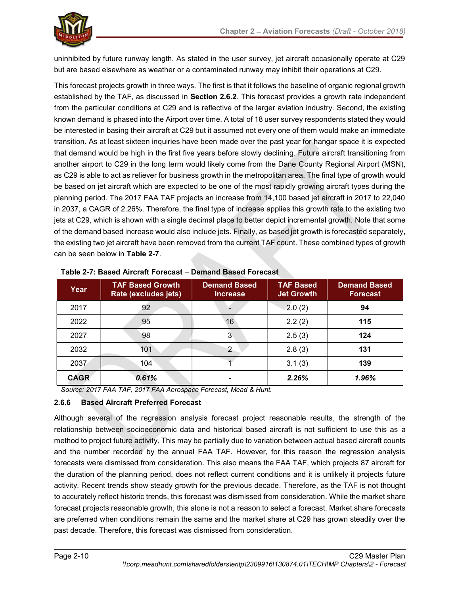uninhibited by future runway length. As stated in the user survey, jet aircraft occasionally operate at C29 but are based elsewhere as weather or a contaminated runway may inhibit their operations at C29.

This forecast projects growth in three ways. The first is that it follows the baseline of organic regional growth established by the TAF, as discussed in Section 2.6.2. This forecast provides a growth rate independent from the particular conditions at C29 and is reflective of the larger aviation industry. Second, the existing known demand is phased into the Airport over time. A total of 18 user survey respondents stated they would be interested in basing their aircraft at C29 but it assumed not every one of them would make an immediate transition. As at least sixteen inquiries have been made over the past year for hangar space it is expected that demand would be high in the first five years before slowly declining. Future aircraft transitioning from another airport to C29 in the long term would likely come from the Dane County Regional Airport (MSN), as C29 is able to act as reliever for business growth in the metropolitan area. The final type of growth would be based on jet aircraft which are expected to be one of the most rapidly growing aircraft types during the planning period. The 2017 FAA TAF projects an increase from 14,100 based jet aircraft in 2017 to 22,040 in 2037, a CAGR of 2.26%. Therefore, the final type of increase applies this growth rate to the existing two jets at C29, which is shown with a single decimal place to better depict incremental growth. Note that some of the demand based increase would also include jets. Finally, as based jet growth is forecasted separately, the existing two jet aircraft have been removed from the current TAF count. These combined types of growth can be seen below in Table 2-7.

| Year        | <b>TAF Based Growth</b><br>Rate (excludes jets) | <b>Demand Based</b><br><b>Increase</b> | <b>TAF Based</b><br><b>Jet Growth</b> | <b>Demand Based</b><br><b>Forecast</b> |
|-------------|-------------------------------------------------|----------------------------------------|---------------------------------------|----------------------------------------|
| 2017        | 92                                              |                                        | 2.0(2)                                | 94                                     |
| 2022        | 95                                              | 16                                     | 2.2(2)                                | 115                                    |
| 2027        | 98                                              | 3                                      | 2.5(3)                                | 124                                    |
| 2032        | 101                                             | 2                                      | 2.8(3)                                | 131                                    |
| 2037        | 104                                             |                                        | 3.1(3)                                | 139                                    |
| <b>CAGR</b> | 0.61%                                           | ۰                                      | 2.26%                                 | 1.96%                                  |

Source: 2017 FAA TAF, 2017 FAA Aerospace Forecast, Mead & Hunt.

#### 2.6.6 Based Aircraft Preferred Forecast

Although several of the regression analysis forecast project reasonable results, the strength of the relationship between socioeconomic data and historical based aircraft is not sufficient to use this as a method to project future activity. This may be partially due to variation between actual based aircraft counts and the number recorded by the annual FAA TAF. However, for this reason the regression analysis forecasts were dismissed from consideration. This also means the FAA TAF, which projects 87 aircraft for the duration of the planning period, does not reflect current conditions and it is unlikely it projects future activity. Recent trends show steady growth for the previous decade. Therefore, as the TAF is not thought to accurately reflect historic trends, this forecast was dismissed from consideration. While the market share forecast projects reasonable growth, this alone is not a reason to select a forecast. Market share forecasts are preferred when conditions remain the same and the market share at C29 has grown steadily over the past decade. Therefore, this forecast was dismissed from consideration.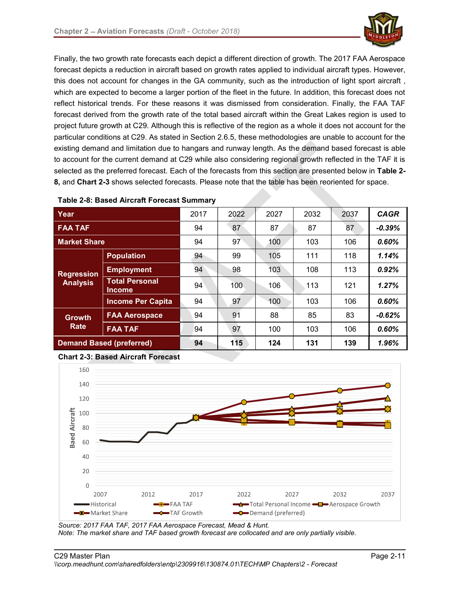

Finally, the two growth rate forecasts each depict a different direction of growth. The 2017 FAA Aerospace forecast depicts a reduction in aircraft based on growth rates applied to individual aircraft types. However, this does not account for changes in the GA community, such as the introduction of light sport aircraft , which are expected to become a larger portion of the fleet in the future. In addition, this forecast does not reflect historical trends. For these reasons it was dismissed from consideration. Finally, the FAA TAF forecast derived from the growth rate of the total based aircraft within the Great Lakes region is used to project future growth at C29. Although this is reflective of the region as a whole it does not account for the particular conditions at C29. As stated in Section 2.6.5, these methodologies are unable to account for the existing demand and limitation due to hangars and runway length. As the demand based forecast is able to account for the current demand at C29 while also considering regional growth reflected in the TAF it is selected as the preferred forecast. Each of the forecasts from this section are presented below in Table 2-8, and Chart 2-3 shows selected forecasts. Please note that the table has been reoriented for space.

| Year                |                                        | 2017 | 2022             | 2027 | 2032 | 2037 | <b>CAGR</b> |
|---------------------|----------------------------------------|------|------------------|------|------|------|-------------|
| <b>FAA TAF</b>      |                                        | 94   | 87               | 87   | 87   | 87   | $-0.39\%$   |
| <b>Market Share</b> |                                        | 94   | 97               | 100  | 103  | 106  | 0.60%       |
|                     | <b>Population</b>                      | 94   | 99               | 105  | 111  | 118  | 1.14%       |
| Regression          | <b>Employment</b>                      | 94   | 98               | 103  | 108  | 113  | 0.92%       |
| <b>Analysis</b>     | <b>Total Personal</b><br><b>Income</b> | 94   | 100 <sub>1</sub> | 106  | 113  | 121  | 1.27%       |
|                     | <b>Income Per Capita</b>               | 94   | 97               | 100  | 103  | 106  | 0.60%       |
| <b>Growth</b>       | <b>FAA Aerospace</b>                   | 94   | 91               | 88   | 85   | 83   | $-0.62%$    |
| Rate                | <b>FAA TAF</b>                         | 94   | 97               | 100  | 103  | 106  | 0.60%       |
|                     | <b>Demand Based (preferred)</b>        | 94   | 115              | 124  | 131  | 139  | 1.96%       |

Table 2-8: Based Aircraft Forecast Summary

Chart 2-3: Based Aircraft Forecast



Source: 2017 FAA TAF, 2017 FAA Aerospace Forecast, Mead & Hunt. Note: The market share and TAF based growth forecast are collocated and are only partially visible.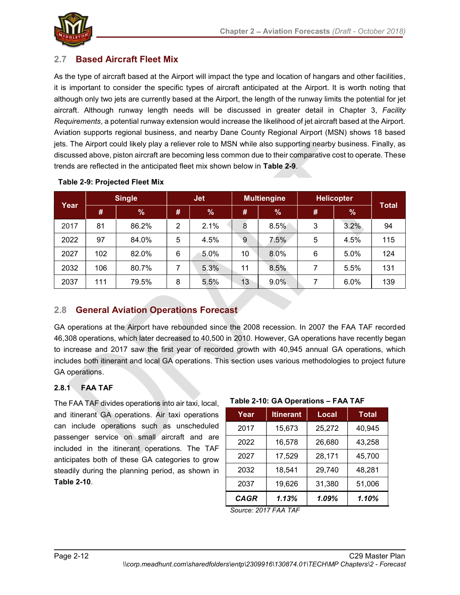

# 2.7 Based Aircraft Fleet Mix

As the type of aircraft based at the Airport will impact the type and location of hangars and other facilities, it is important to consider the specific types of aircraft anticipated at the Airport. It is worth noting that although only two jets are currently based at the Airport, the length of the runway limits the potential for jet aircraft. Although runway length needs will be discussed in greater detail in Chapter 3, Facility Requirements, a potential runway extension would increase the likelihood of jet aircraft based at the Airport. Aviation supports regional business, and nearby Dane County Regional Airport (MSN) shows 18 based jets. The Airport could likely play a reliever role to MSN while also supporting nearby business. Finally, as discussed above, piston aircraft are becoming less common due to their comparative cost to operate. These trends are reflected in the anticipated fleet mix shown below in Table 2-9.

| Year | <b>Single</b> |               | Jet <sub></sub> |               | <b>Multiengine</b> |         | <b>Helicopter</b> |               |              |
|------|---------------|---------------|-----------------|---------------|--------------------|---------|-------------------|---------------|--------------|
|      | #             | $\frac{9}{6}$ | #               | $\frac{9}{6}$ | #                  | %       | #                 | $\frac{9}{6}$ | <b>Total</b> |
| 2017 | 81            | 86.2%         | C.<br>ے         | 2.1%          | 8                  | 8.5%    | 3                 | 3.2%          | 94           |
| 2022 | 97            | 84.0%         | 5               | 4.5%          | 9                  | $7.5\%$ | 5                 | 4.5%          | 115          |
| 2027 | 102           | 82.0%         | 6               | 5.0%          | 10                 | 8.0%    | 6                 | 5.0%          | 124          |
| 2032 | 106           | 80.7%         |                 | 5.3%          | 11                 | 8.5%    |                   | 5.5%          | 131          |
| 2037 | 11            | 79.5%         | 8               | 5.5%          | 13                 | $9.0\%$ |                   | 6.0%          | 139          |

#### Table 2-9: Projected Fleet Mix

# 2.8 General Aviation Operations Forecast

GA operations at the Airport have rebounded since the 2008 recession. In 2007 the FAA TAF recorded 46,308 operations, which later decreased to 40,500 in 2010. However, GA operations have recently began to increase and 2017 saw the first year of recorded growth with 40,945 annual GA operations, which includes both itinerant and local GA operations. This section uses various methodologies to project future GA operations.

# 2.8.1 FAA TAF

The FAA TAF divides operations into air taxi, local, and itinerant GA operations. Air taxi operations can include operations such as unscheduled passenger service on small aircraft and are included in the itinerant operations. The TAF anticipates both of these GA categories to grow steadily during the planning period, as shown in Table 2-10.

#### Table 2-10: GA Operations - FAA TAF

| Year        | <b>Itinerant</b> | Local  | <b>Total</b> |
|-------------|------------------|--------|--------------|
| 2017        | 15,673           | 25,272 | 40,945       |
| 2022        | 16,578           | 26,680 | 43,258       |
| 2027        | 17,529           | 28,171 | 45,700       |
| 2032        | 18,541           | 29,740 | 48,281       |
| 2037        | 19,626           | 31,380 | 51,006       |
| <b>CAGR</b> | 1.13%            | 1.09%  | 1.10%        |

Source: 2017 FAA TAF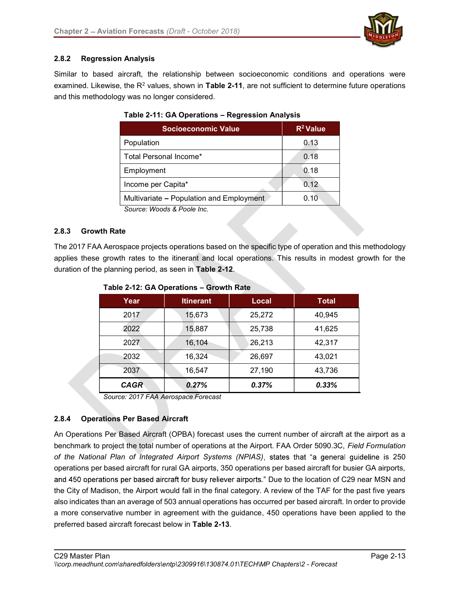

#### 2.8.2 Regression Analysis

Similar to based aircraft, the relationship between socioeconomic conditions and operations were examined. Likewise, the R<sup>2</sup> values, shown in **Table 2-11**, are not sufficient to determine future operations and this methodology was no longer considered.

| Socioeconomic Value                      | $R^2$ Value |
|------------------------------------------|-------------|
| Population                               | 0.13        |
| Total Personal Income*                   | 0.18        |
| Employment                               | 0.18        |
| Income per Capita*                       | 0.12        |
| Multivariate - Population and Employment | 0.10        |
| Source: Woode & Doole Inc                |             |

#### Table 2-11: GA Operations - Regression Analysis

Source: Woods & Poole Inc.

#### 2.8.3 Growth Rate

The 2017 FAA Aerospace projects operations based on the specific type of operation and this methodology applies these growth rates to the itinerant and local operations. This results in modest growth for the duration of the planning period, as seen in Table 2-12.

| Year        | <b>Itinerant</b> | <b>Local</b> | <b>Total</b> |
|-------------|------------------|--------------|--------------|
| 2017        | 15,673           | 25,272       | 40,945       |
| 2022        | 15,887           | 25,738       | 41,625       |
| 2027        | 16,104           | 26,213       | 42,317       |
| 2032        | 16,324           | 26,697       | 43,021       |
| 2037        | 16,547           | 27,190       | 43,736       |
| <b>CAGR</b> | 0.27%            | 0.37%        | 0.33%        |

Table 2-12: GA Operations - Growth Rate

Source: 2017 FAA Aerospace Forecast

#### 2.8.4 Operations Per Based Aircraft

An Operations Per Based Aircraft (OPBA) forecast uses the current number of aircraft at the airport as a benchmark to project the total number of operations at the Airport. FAA Order 5090.3C, Field Formulation of the National Plan of Integrated Airport Systems (NPIAS), states that "a general guideline is 250 operations per based aircraft for rural GA airports, 350 operations per based aircraft for busier GA airports, and 450 operations per based aircraft for busy reliever airports." Due to the location of C29 near MSN and the City of Madison, the Airport would fall in the final category. A review of the TAF for the past five years also indicates than an average of 503 annual operations has occurred per based aircraft. In order to provide a more conservative number in agreement with the guidance, 450 operations have been applied to the preferred based aircraft forecast below in Table 2-13.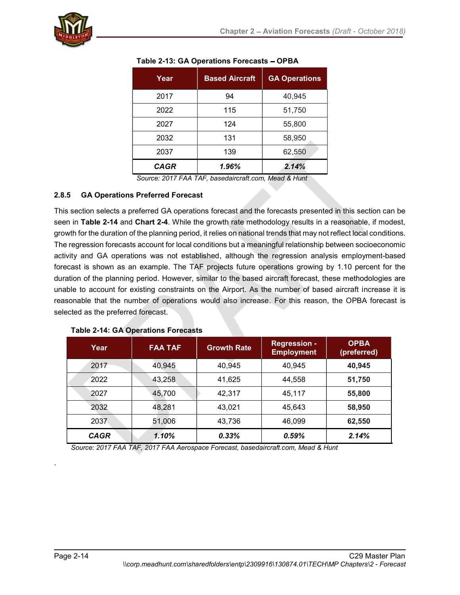| Year        | <b>Based Aircraft</b> | <b>GA Operations</b> |
|-------------|-----------------------|----------------------|
| 2017        | 94                    | 40,945               |
| 2022        | 115                   | 51,750               |
| 2027        | 124                   | 55,800               |
| 2032        | 131                   | 58,950               |
| 2037        | 139                   | 62,550               |
| <b>CAGR</b> | 1.96%                 | 2.14%                |
|             | $\sim$<br>.           |                      |

| Table 2-13: GA Operations Forecasts - OPBA |  |
|--------------------------------------------|--|
|--------------------------------------------|--|

Source: 2017 FAA TAF, basedaircraft.com, Mead & Hunt

#### 2.8.5 GA Operations Preferred Forecast

This section selects a preferred GA operations forecast and the forecasts presented in this section can be seen in Table 2-14 and Chart 2-4. While the growth rate methodology results in a reasonable, if modest, growth for the duration of the planning period, it relies on national trends that may not reflect local conditions. The regression forecasts account for local conditions but a meaningful relationship between socioeconomic activity and GA operations was not established, although the regression analysis employment-based forecast is shown as an example. The TAF projects future operations growing by 1.10 percent for the duration of the planning period. However, similar to the based aircraft forecast, these methodologies are unable to account for existing constraints on the Airport. As the number of based aircraft increase it is reasonable that the number of operations would also increase. For this reason, the OPBA forecast is selected as the preferred forecast.

| Year        | <b>FAA TAF</b> | <b>Growth Rate</b> | <b>Regression -</b><br><b>Employment</b> | <b>OPBA</b><br>(preferred) |
|-------------|----------------|--------------------|------------------------------------------|----------------------------|
| 2017        | 40,945         | 40,945             | 40,945                                   | 40,945                     |
| 2022        | 43,258         | 41,625             | 44,558                                   | 51,750                     |
| 2027        | 45,700         | 42,317             | 45,117                                   | 55,800                     |
| 2032        | 48,281         | 43,021             | 45,643                                   | 58,950                     |
| 2037        | 51,006         | 43,736             | 46,099                                   | 62,550                     |
| <b>CAGR</b> | 1.10%          | 0.33%              | 0.59%                                    | 2.14%                      |

#### Table 2-14: GA Operations Forecasts

Source: 2017 FAA TAF, 2017 FAA Aerospace Forecast, basedaircraft.com, Mead & Hunt

.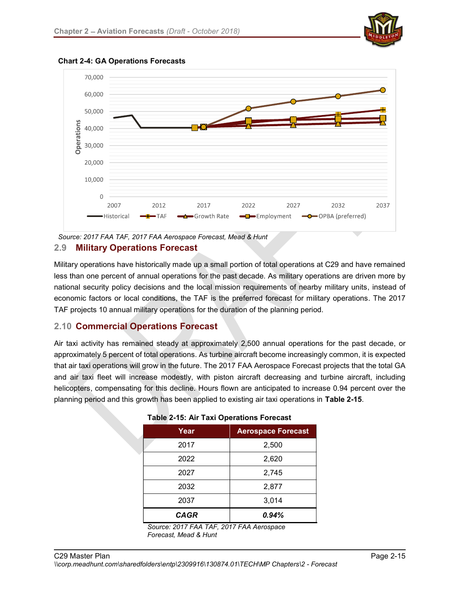



Chart 2-4: GA Operations Forecasts



Military operations have historically made up a small portion of total operations at C29 and have remained less than one percent of annual operations for the past decade. As military operations are driven more by national security policy decisions and the local mission requirements of nearby military units, instead of economic factors or local conditions, the TAF is the preferred forecast for military operations. The 2017 TAF projects 10 annual military operations for the duration of the planning period.

# 2.10 Commercial Operations Forecast

Air taxi activity has remained steady at approximately 2,500 annual operations for the past decade, or approximately 5 percent of total operations. As turbine aircraft become increasingly common, it is expected that air taxi operations will grow in the future. The 2017 FAA Aerospace Forecast projects that the total GA and air taxi fleet will increase modestly, with piston aircraft decreasing and turbine aircraft, including helicopters, compensating for this decline. Hours flown are anticipated to increase 0.94 percent over the planning period and this growth has been applied to existing air taxi operations in Table 2-15.

| Year        | <b>Aerospace Forecast</b> |  |  |  |
|-------------|---------------------------|--|--|--|
| 2017        | 2,500                     |  |  |  |
| 2022        | 2,620                     |  |  |  |
| 2027        | 2,745                     |  |  |  |
| 2032        | 2,877                     |  |  |  |
| 2037        | 3,014                     |  |  |  |
| <b>CAGR</b> | 0.94%                     |  |  |  |

#### Table 2-15: Air Taxi Operations Forecast

Source: 2017 FAA TAF, 2017 FAA Aerospace Forecast, Mead & Hunt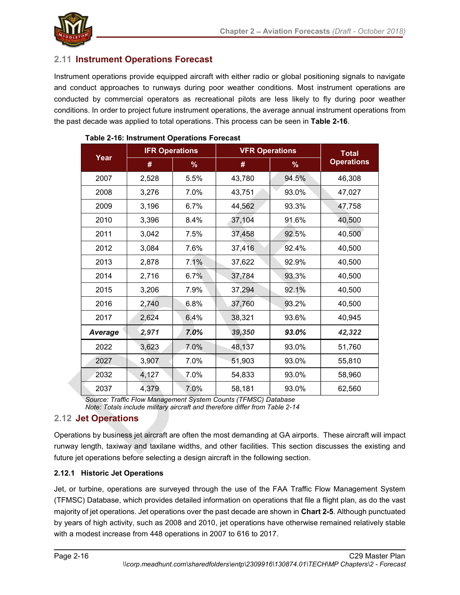

# 2.11 Instrument Operations Forecast

Instrument operations provide equipped aircraft with either radio or global positioning signals to navigate and conduct approaches to runways during poor weather conditions. Most instrument operations are conducted by commercial operators as recreational pilots are less likely to fly during poor weather conditions. In order to project future instrument operations, the average annual instrument operations from the past decade was applied to total operations. This process can be seen in Table 2-16.

| Year    | <b>IFR Operations</b> |      | <b>VFR Operations</b> |       | <b>Total</b>      |
|---------|-----------------------|------|-----------------------|-------|-------------------|
|         | #                     | %    | #                     | %     | <b>Operations</b> |
| 2007    | 2,528                 | 5.5% | 43,780                | 94.5% | 46,308            |
| 2008    | 3,276                 | 7.0% | 43,751                | 93.0% | 47,027            |
| 2009    | 3,196                 | 6.7% | 44,562                | 93.3% | 47,758            |
| 2010    | 3,396                 | 8.4% | 37,104                | 91.6% | 40,500            |
| 2011    | 3,042                 | 7.5% | 37,458                | 92.5% | 40,500            |
| 2012    | 3,084                 | 7.6% | 37,416                | 92.4% | 40,500            |
| 2013    | 2,878                 | 7.1% | 37,622                | 92.9% | 40,500            |
| 2014    | 2,716                 | 6.7% | 37,784                | 93.3% | 40,500            |
| 2015    | 3,206                 | 7.9% | 37,294                | 92.1% | 40,500            |
| 2016    | 2,740                 | 6.8% | 37,760                | 93.2% | 40,500            |
| 2017    | 2,624                 | 6.4% | 38,321                | 93.6% | 40,945            |
| Average | 2,971                 | 7.0% | 39,350                | 93.0% | 42,322            |
| 2022    | 3,623                 | 7.0% | 48,137                | 93.0% | 51,760            |
| 2027    | 3,907                 | 7.0% | 51,903                | 93.0% | 55,810            |
| 2032    | 4,127                 | 7.0% | 54,833                | 93.0% | 58,960            |
| 2037    | 4,379                 | 7.0% | 58,181                | 93.0% | 62,560            |

#### Table 2-16: Instrument Operations Forecast

Source: Traffic Flow Management System Counts (TFMSC) Database Note: Totals include military aircraft and therefore differ from Table 2-14

# 2.12 Jet Operations

Operations by business jet aircraft are often the most demanding at GA airports. These aircraft will impact runway length, taxiway and taxilane widths, and other facilities. This section discusses the existing and future jet operations before selecting a design aircraft in the following section.

#### 2.12.1 Historic Jet Operations

Jet, or turbine, operations are surveyed through the use of the FAA Traffic Flow Management System (TFMSC) Database, which provides detailed information on operations that file a flight plan, as do the vast majority of jet operations. Jet operations over the past decade are shown in Chart 2-5. Although punctuated by years of high activity, such as 2008 and 2010, jet operations have otherwise remained relatively stable with a modest increase from 448 operations in 2007 to 616 to 2017.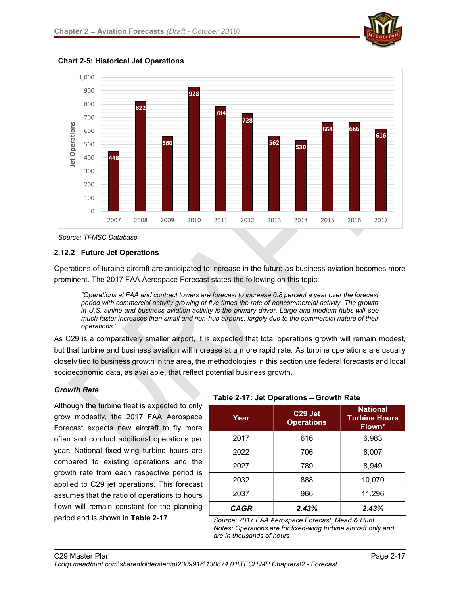



Chart 2-5: Historical Jet Operations

#### 2.12.2 Future Jet Operations

Operations of turbine aircraft are anticipated to increase in the future as business aviation becomes more prominent. The 2017 FAA Aerospace Forecast states the following on this topic:

Operations at FAA and contract towers are forecast to increase 0.8 percent a year over the forecast period with commercial activity growing at five times the rate of noncommercial activity. The growth in U.S. airline and business aviation activity is the primary driver. Large and medium hubs will see much faster increases than small and non-hub airports, largely due to the commercial nature of their operations

As C29 is a comparatively smaller airport, it is expected that total operations growth will remain modest, but that turbine and business aviation will increase at a more rapid rate. As turbine operations are usually closely tied to business growth in the area, the methodologies in this section use federal forecasts and local socioeconomic data, as available, that reflect potential business growth.

#### Growth Rate

Although the turbine fleet is expected to only grow modestly, the 2017 FAA Aerospace Forecast expects new aircraft to fly more often and conduct additional operations per year. National fixed-wing turbine hours are compared to existing operations and the growth rate from each respective period is applied to C29 jet operations. This forecast assumes that the ratio of operations to hours flown will remain constant for the planning period and is shown in Table 2-17.

| Year | C29 Jet<br><b>Operations</b> | <b>National</b><br><b>Turbine Hours</b><br>Flown* |
|------|------------------------------|---------------------------------------------------|
| 2017 | 616                          | 6,983                                             |
| 2022 | 706                          | 8,007                                             |
| 2027 | 789                          | 8,949                                             |
| 2032 | 888                          | 10,070                                            |
| 2037 | 966                          | 11,296                                            |
| CAGR | 2.43%                        | 2.43%                                             |

Source: 2017 FAA Aerospace Forecast, Mead & Hunt Notes: Operations are for fixed-wing turbine aircraft only and are in thousands of hours

Source: TFMSC Database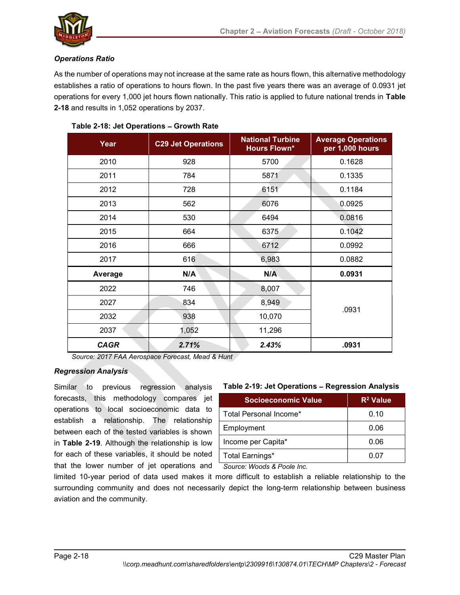

#### Operations Ratio

As the number of operations may not increase at the same rate as hours flown, this alternative methodology establishes a ratio of operations to hours flown. In the past five years there was an average of 0.0931 jet operations for every 1,000 jet hours flown nationally. This ratio is applied to future national trends in Table 2-18 and results in 1,052 operations by 2037.

| Year        | <b>C29 Jet Operations</b> | <b>National Turbine</b><br><b>Hours Flown*</b> | <b>Average Operations</b><br>per 1,000 hours |
|-------------|---------------------------|------------------------------------------------|----------------------------------------------|
| 2010        | 928                       | 5700                                           | 0.1628                                       |
| 2011        | 784                       | 5871                                           | 0.1335                                       |
| 2012        | 728                       | 6151                                           | 0.1184                                       |
| 2013        | 562                       | 6076                                           | 0.0925                                       |
| 2014        | 530                       | 6494                                           | 0.0816                                       |
| 2015        | 664                       | 6375                                           | 0.1042                                       |
| 2016        | 666                       | 6712                                           | 0.0992                                       |
| 2017        | 616                       | 6,983                                          | 0.0882                                       |
| Average     | N/A                       | N/A                                            | 0.0931                                       |
| 2022        | 746                       | 8,007                                          |                                              |
| 2027        | 834                       | 8,949                                          | .0931                                        |
| 2032        | 938                       | 10,070                                         |                                              |
| 2037        | 1,052                     | 11,296                                         |                                              |
| <b>CAGR</b> | 2.71%                     | 2.43%                                          | .0931                                        |

#### Table 2-18: Jet Operations - Growth Rate

Source: 2017 FAA Aerospace Forecast, Mead & Hunt

#### Regression Analysis

Similar to previous regression analysis forecasts, this methodology compares jet operations to local socioeconomic data to establish a relationship. The relationship between each of the tested variables is shown in Table 2-19. Although the relationship is low for each of these variables, it should be noted that the lower number of jet operations and

#### Table 2-19: Jet Operations - Regression Analysis

| <b>Socioeconomic Value</b> | $R^2$ Value |
|----------------------------|-------------|
| Total Personal Income*     | 0.10        |
| Employment                 | 0.06        |
| Income per Capita*         | 0.06        |
| Total Earnings*            | 0.07        |

Source: Woods & Poole Inc.

limited 10-year period of data used makes it more difficult to establish a reliable relationship to the surrounding community and does not necessarily depict the long-term relationship between business aviation and the community.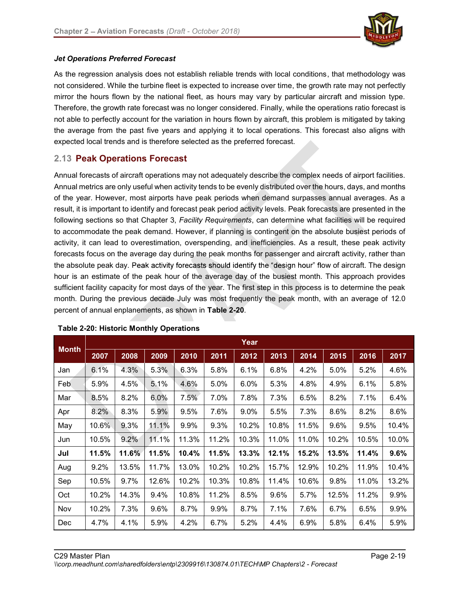

#### Jet Operations Preferred Forecast

As the regression analysis does not establish reliable trends with local conditions, that methodology was not considered. While the turbine fleet is expected to increase over time, the growth rate may not perfectly mirror the hours flown by the national fleet, as hours may vary by particular aircraft and mission type. Therefore, the growth rate forecast was no longer considered. Finally, while the operations ratio forecast is not able to perfectly account for the variation in hours flown by aircraft, this problem is mitigated by taking the average from the past five years and applying it to local operations. This forecast also aligns with expected local trends and is therefore selected as the preferred forecast.

#### 2.13 Peak Operations Forecast

Annual forecasts of aircraft operations may not adequately describe the complex needs of airport facilities. Annual metrics are only useful when activity tends to be evenly distributed over the hours, days, and months of the year. However, most airports have peak periods when demand surpasses annual averages. As a result, it is important to identify and forecast peak period activity levels. Peak forecasts are presented in the following sections so that Chapter 3, Facility Requirements, can determine what facilities will be required to accommodate the peak demand. However, if planning is contingent on the absolute busiest periods of activity, it can lead to overestimation, overspending, and inefficiencies. As a result, these peak activity forecasts focus on the average day during the peak months for passenger and aircraft activity, rather than the absolute peak day. Peak activity forecasts should identify the "design hour" flow of aircraft. The design hour is an estimate of the peak hour of the average day of the busiest month. This approach provides sufficient facility capacity for most days of the year. The first step in this process is to determine the peak month. During the previous decade July was most frequently the peak month, with an average of 12.0 percent of annual enplanements, as shown in Table 2-20.

|              | Year  |       |       |       |       |       |       |       |       |       |       |
|--------------|-------|-------|-------|-------|-------|-------|-------|-------|-------|-------|-------|
| <b>Month</b> | 2007  | 2008  | 2009  | 2010  | 2011  | 2012  | 2013  | 2014  | 2015  | 2016  | 2017  |
| Jan          | 6.1%  | 4.3%  | 5.3%  | 6.3%  | 5.8%  | 6.1%  | 6.8%  | 4.2%  | 5.0%  | 5.2%  | 4.6%  |
| Feb          | 5.9%  | 4.5%  | 5.1%  | 4.6%  | 5.0%  | 6.0%  | 5.3%  | 4.8%  | 4.9%  | 6.1%  | 5.8%  |
| Mar          | 8.5%  | 8.2%  | 6.0%  | 7.5%  | 7.0%  | 7.8%  | 7.3%  | 6.5%  | 8.2%  | 7.1%  | 6.4%  |
| Apr          | 8.2%  | 8.3%  | 5.9%  | 9.5%  | 7.6%  | 9.0%  | 5.5%  | 7.3%  | 8.6%  | 8.2%  | 8.6%  |
| May          | 10.6% | 9.3%  | 11.1% | 9.9%  | 9.3%  | 10.2% | 10.8% | 11.5% | 9.6%  | 9.5%  | 10.4% |
| Jun          | 10.5% | 9.2%  | 11.1% | 11.3% | 11.2% | 10.3% | 11.0% | 11.0% | 10.2% | 10.5% | 10.0% |
| Jul          | 11.5% | 11.6% | 11.5% | 10.4% | 11.5% | 13.3% | 12.1% | 15.2% | 13.5% | 11.4% | 9.6%  |
| Aug          | 9.2%  | 13.5% | 11.7% | 13.0% | 10.2% | 10.2% | 15.7% | 12.9% | 10.2% | 11.9% | 10.4% |
| Sep          | 10.5% | 9.7%  | 12.6% | 10.2% | 10.3% | 10.8% | 11.4% | 10.6% | 9.8%  | 11.0% | 13.2% |
| Oct          | 10.2% | 14.3% | 9.4%  | 10.8% | 11.2% | 8.5%  | 9.6%  | 5.7%  | 12.5% | 11.2% | 9.9%  |
| Nov          | 10.2% | 7.3%  | 9.6%  | 8.7%  | 9.9%  | 8.7%  | 7.1%  | 7.6%  | 6.7%  | 6.5%  | 9.9%  |
| Dec          | 4.7%  | 4.1%  | 5.9%  | 4.2%  | 6.7%  | 5.2%  | 4.4%  | 6.9%  | 5.8%  | 6.4%  | 5.9%  |

#### Table 2-20: Historic Monthly Operations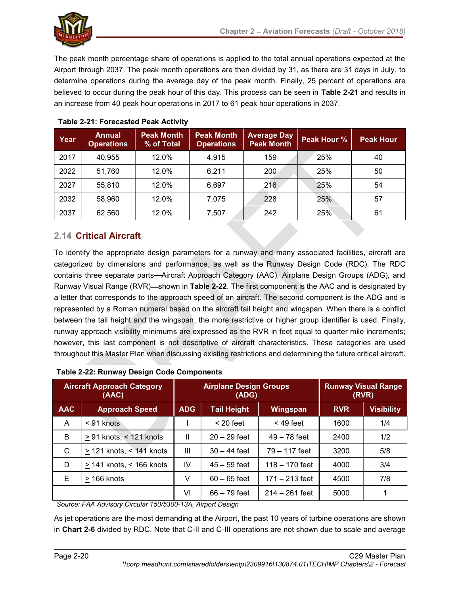

The peak month percentage share of operations is applied to the total annual operations expected at the Airport through 2037. The peak month operations are then divided by 31, as there are 31 days in July, to determine operations during the average day of the peak month. Finally, 25 percent of operations are believed to occur during the peak hour of this day. This process can be seen in Table 2-21 and results in an increase from 40 peak hour operations in 2017 to 61 peak hour operations in 2037.

| Year | Annual<br><b>Operations</b> | <b>Peak Month</b><br>% of Total | <b>Peak Month</b><br><b>Operations</b> | <b>Average Day</b><br><b>Peak Month</b> | Peak Hour % | <b>Peak Hour</b> |
|------|-----------------------------|---------------------------------|----------------------------------------|-----------------------------------------|-------------|------------------|
| 2017 | 40,955                      | 12.0%                           | 4,915                                  | 159                                     | 25%         | 40               |
| 2022 | 51,760                      | 12.0%                           | 6,211                                  | 200                                     | 25%         | 50               |
| 2027 | 55,810                      | 12.0%                           | 6,697                                  | 216                                     | 25%         | 54               |
| 2032 | 58,960                      | 12.0%                           | 7,075                                  | 228                                     | 25%         | 57               |
| 2037 | 62,560                      | 12.0%                           | 7,507                                  | 242                                     | 25%         | 61               |

# Table 2-21: Forecasted Peak Activity

# 2.14 Critical Aircraft

To identify the appropriate design parameters for a runway and many associated facilities, aircraft are categorized by dimensions and performance, as well as the Runway Design Code (RDC). The RDC contains three separate parts—Aircraft Approach Category (AAC), Airplane Design Groups (ADG), and Runway Visual Range (RVR)—shown in Table 2-22. The first component is the AAC and is designated by a letter that corresponds to the approach speed of an aircraft. The second component is the ADG and is represented by a Roman numeral based on the aircraft tail height and wingspan. When there is a conflict between the tail height and the wingspan, the more restrictive or higher group identifier is used. Finally, runway approach visibility minimums are expressed as the RVR in feet equal to quarter mile increments; however, this last component is not descriptive of aircraft characteristics. These categories are used throughout this Master Plan when discussing existing restrictions and determining the future critical aircraft.

|              | <b>Aircraft Approach Category</b><br>(AAC) |            | <b>Airplane Design Groups</b><br>(ADG) |                  |            | <b>Runway Visual Range</b><br>(RVR) |
|--------------|--------------------------------------------|------------|----------------------------------------|------------------|------------|-------------------------------------|
| <b>AAC</b>   | <b>Approach Speed</b>                      | <b>ADG</b> | <b>Tail Height</b>                     | Wingspan         | <b>RVR</b> | <b>Visibility</b>                   |
| A            | $< 91$ knots                               |            | $<$ 20 feet                            | $<$ 49 feet      | 1600       | 1/4                                 |
| B            | > 91 knots, < 121 knots                    | Ш          | $20 - 29$ feet                         | $49 - 78$ feet   | 2400       | 1/2                                 |
| $\mathsf{C}$ | $\geq$ 121 knots, < 141 knots              | III        | $30 - 44$ feet                         | 79 – 117 feet    | 3200       | 5/8                                 |
| D            | > 141 knots, < 166 knots                   | IV         | $45 - 59$ feet                         | $118 - 170$ feet | 4000       | 3/4                                 |
| Е            | $>$ 166 knots                              | v          | $60 - 65$ feet                         | $171 - 213$ feet | 4500       | 7/8                                 |
|              |                                            | VI         | $66 - 79$ feet                         | $214 - 261$ feet | 5000       |                                     |

Source: FAA Advisory Circular 150/5300-13A, Airport Design

As jet operations are the most demanding at the Airport, the past 10 years of turbine operations are shown in Chart 2-6 divided by RDC. Note that C-II and C-III operations are not shown due to scale and average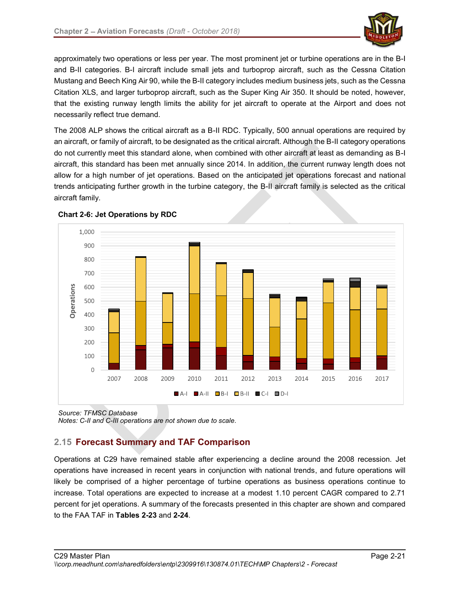

approximately two operations or less per year. The most prominent jet or turbine operations are in the B-I and B-II categories. B-I aircraft include small jets and turboprop aircraft, such as the Cessna Citation Mustang and Beech King Air 90, while the B-II category includes medium business jets, such as the Cessna Citation XLS, and larger turboprop aircraft, such as the Super King Air 350. It should be noted, however, that the existing runway length limits the ability for jet aircraft to operate at the Airport and does not necessarily reflect true demand.

The 2008 ALP shows the critical aircraft as a B-II RDC. Typically, 500 annual operations are required by an aircraft, or family of aircraft, to be designated as the critical aircraft. Although the B-II category operations do not currently meet this standard alone, when combined with other aircraft at least as demanding as B-I aircraft, this standard has been met annually since 2014. In addition, the current runway length does not allow for a high number of jet operations. Based on the anticipated jet operations forecast and national trends anticipating further growth in the turbine category, the B-II aircraft family is selected as the critical aircraft family.





Source: TFMSC Database Notes: C-II and C-III operations are not shown due to scale.

# 2.15 Forecast Summary and TAF Comparison

Operations at C29 have remained stable after experiencing a decline around the 2008 recession. Jet operations have increased in recent years in conjunction with national trends, and future operations will likely be comprised of a higher percentage of turbine operations as business operations continue to increase. Total operations are expected to increase at a modest 1.10 percent CAGR compared to 2.71 percent for jet operations. A summary of the forecasts presented in this chapter are shown and compared to the FAA TAF in Tables 2-23 and 2-24.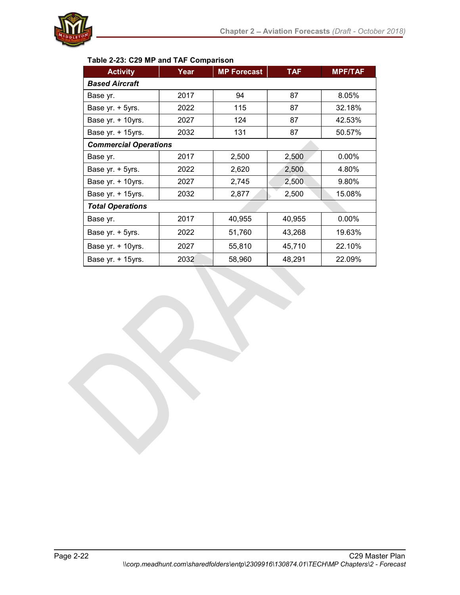

# Table 2-23: C29 MP and TAF Comparison

| <b>Activity</b>              | Year | <b>MP Forecast</b> | <b>TAF</b> | <b>MPF/TAF</b> |
|------------------------------|------|--------------------|------------|----------------|
| <b>Based Aircraft</b>        |      |                    |            |                |
| Base yr.                     | 2017 | 94                 | 87         | 8.05%          |
| Base yr. + 5yrs.             | 2022 | 115                | 87         | 32.18%         |
| Base yr. + 10yrs.            | 2027 | 124                | 87         | 42.53%         |
| Base yr. + 15yrs.            | 2032 | 131                | 87         | 50.57%         |
| <b>Commercial Operations</b> |      |                    |            |                |
| Base yr.                     | 2017 | 2,500              | 2,500      | $0.00\%$       |
| Base yr. + 5yrs.             | 2022 | 2,620              | 2,500      | 4.80%          |
| Base yr. + 10yrs.            | 2027 | 2,745              | 2,500      | 9.80%          |
| Base yr. + 15yrs.            | 2032 | 2,877              | 2,500      | 15.08%         |
| <b>Total Operations</b>      |      |                    |            |                |
| Base yr.                     | 2017 | 40,955             | 40,955     | $0.00\%$       |
| Base yr. + 5yrs.             | 2022 | 51,760             | 43,268     | 19.63%         |
| Base yr. + 10yrs.            | 2027 | 55,810             | 45,710     | 22.10%         |
| Base yr. + 15yrs.            | 2032 | 58,960             | 48,291     | 22.09%         |